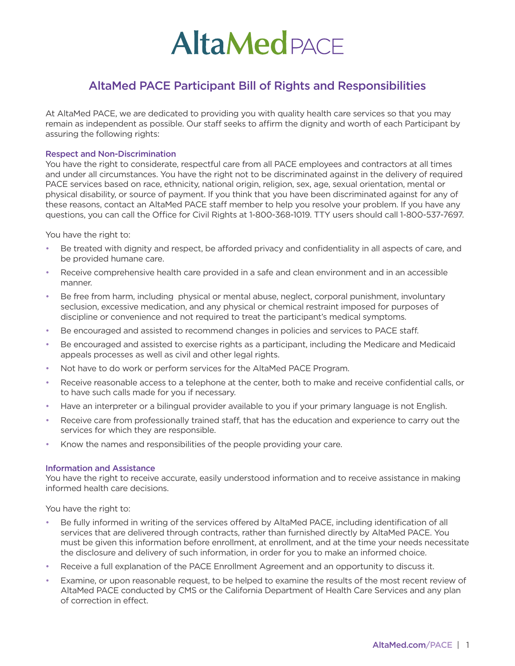# **AltaMed** PACE

# AltaMed PACE Participant Bill of Rights and Responsibilities

At AltaMed PACE, we are dedicated to providing you with quality health care services so that you may remain as independent as possible. Our staff seeks to affirm the dignity and worth of each Participant by assuring the following rights:

# Respect and Non-Discrimination

You have the right to considerate, respectful care from all PACE employees and contractors at all times and under all circumstances. You have the right not to be discriminated against in the delivery of required PACE services based on race, ethnicity, national origin, religion, sex, age, sexual orientation, mental or physical disability, or source of payment. If you think that you have been discriminated against for any of these reasons, contact an AltaMed PACE staff member to help you resolve your problem. If you have any questions, you can call the Office for Civil Rights at 1-800-368-1019. TTY users should call 1-800-537-7697.

You have the right to:

- Be treated with dignity and respect, be afforded privacy and confidentiality in all aspects of care, and be provided humane care.
- Receive comprehensive health care provided in a safe and clean environment and in an accessible manner.
- Be free from harm, including physical or mental abuse, neglect, corporal punishment, involuntary seclusion, excessive medication, and any physical or chemical restraint imposed for purposes of discipline or convenience and not required to treat the participant's medical symptoms.
- Be encouraged and assisted to recommend changes in policies and services to PACE staff.
- Be encouraged and assisted to exercise rights as a participant, including the Medicare and Medicaid appeals processes as well as civil and other legal rights.
- Not have to do work or perform services for the AltaMed PACE Program.
- Receive reasonable access to a telephone at the center, both to make and receive confidential calls, or to have such calls made for you if necessary.
- Have an interpreter or a bilingual provider available to you if your primary language is not English.
- Receive care from professionally trained staff, that has the education and experience to carry out the services for which they are responsible.
- Know the names and responsibilities of the people providing your care.

#### Information and Assistance

You have the right to receive accurate, easily understood information and to receive assistance in making informed health care decisions.

You have the right to:

- Be fully informed in writing of the services offered by AltaMed PACE, including identification of all services that are delivered through contracts, rather than furnished directly by AltaMed PACE. You must be given this information before enrollment, at enrollment, and at the time your needs necessitate the disclosure and delivery of such information, in order for you to make an informed choice.
- Receive a full explanation of the PACE Enrollment Agreement and an opportunity to discuss it.
- Examine, or upon reasonable request, to be helped to examine the results of the most recent review of AltaMed PACE conducted by CMS or the California Department of Health Care Services and any plan of correction in effect.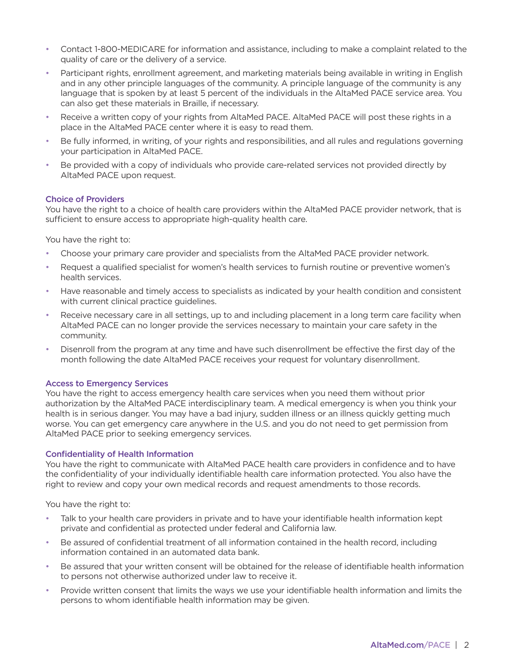- Contact 1-800-MEDICARE for information and assistance, including to make a complaint related to the quality of care or the delivery of a service.
- Participant rights, enrollment agreement, and marketing materials being available in writing in English and in any other principle languages of the community. A principle language of the community is any language that is spoken by at least 5 percent of the individuals in the AltaMed PACE service area. You can also get these materials in Braille, if necessary.
- Receive a written copy of your rights from AltaMed PACE. AltaMed PACE will post these rights in a place in the AltaMed PACE center where it is easy to read them.
- Be fully informed, in writing, of your rights and responsibilities, and all rules and regulations governing your participation in AltaMed PACE.
- Be provided with a copy of individuals who provide care-related services not provided directly by AltaMed PACE upon request.

# Choice of Providers

You have the right to a choice of health care providers within the AltaMed PACE provider network, that is sufficient to ensure access to appropriate high-quality health care.

You have the right to:

- Choose your primary care provider and specialists from the AltaMed PACE provider network.
- Request a qualified specialist for women's health services to furnish routine or preventive women's health services.
- Have reasonable and timely access to specialists as indicated by your health condition and consistent with current clinical practice guidelines.
- Receive necessary care in all settings, up to and including placement in a long term care facility when AltaMed PACE can no longer provide the services necessary to maintain your care safety in the community.
- Disenroll from the program at any time and have such disenrollment be effective the first day of the month following the date AltaMed PACE receives your request for voluntary disenrollment.

#### Access to Emergency Services

You have the right to access emergency health care services when you need them without prior authorization by the AltaMed PACE interdisciplinary team. A medical emergency is when you think your health is in serious danger. You may have a bad injury, sudden illness or an illness quickly getting much worse. You can get emergency care anywhere in the U.S. and you do not need to get permission from AltaMed PACE prior to seeking emergency services.

#### Confidentiality of Health Information

You have the right to communicate with AltaMed PACE health care providers in confidence and to have the confidentiality of your individually identifiable health care information protected. You also have the right to review and copy your own medical records and request amendments to those records.

You have the right to:

- Talk to your health care providers in private and to have your identifiable health information kept private and confidential as protected under federal and California law.
- Be assured of confidential treatment of all information contained in the health record, including information contained in an automated data bank.
- Be assured that your written consent will be obtained for the release of identifiable health information to persons not otherwise authorized under law to receive it.
- Provide written consent that limits the ways we use your identifiable health information and limits the persons to whom identifiable health information may be given.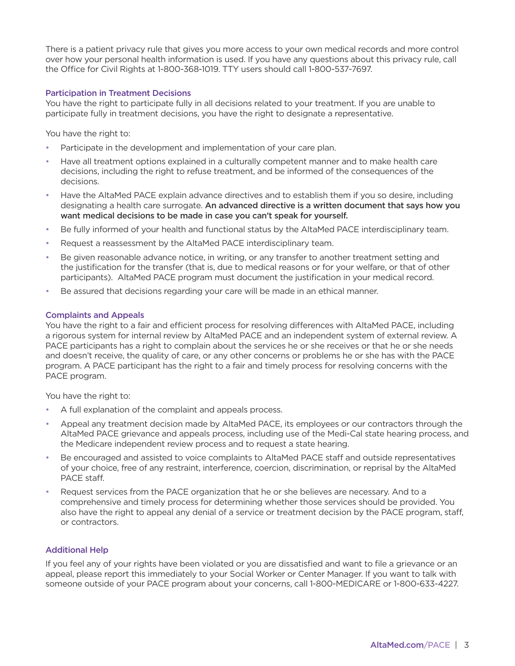There is a patient privacy rule that gives you more access to your own medical records and more control over how your personal health information is used. If you have any questions about this privacy rule, call the Office for Civil Rights at 1-800-368-1019. TTY users should call 1-800-537-7697.

# Participation in Treatment Decisions

You have the right to participate fully in all decisions related to your treatment. If you are unable to participate fully in treatment decisions, you have the right to designate a representative.

You have the right to:

- Participate in the development and implementation of your care plan.
- Have all treatment options explained in a culturally competent manner and to make health care decisions, including the right to refuse treatment, and be informed of the consequences of the decisions.
- Have the AltaMed PACE explain advance directives and to establish them if you so desire, including designating a health care surrogate. An advanced directive is a written document that says how you want medical decisions to be made in case you can't speak for yourself.
- Be fully informed of your health and functional status by the AltaMed PACE interdisciplinary team.
- Request a reassessment by the AltaMed PACE interdisciplinary team.
- Be given reasonable advance notice, in writing, or any transfer to another treatment setting and the justification for the transfer (that is, due to medical reasons or for your welfare, or that of other participants). AltaMed PACE program must document the justification in your medical record.
- Be assured that decisions regarding your care will be made in an ethical manner.

#### Complaints and Appeals

You have the right to a fair and efficient process for resolving differences with AltaMed PACE, including a rigorous system for internal review by AltaMed PACE and an independent system of external review. A PACE participants has a right to complain about the services he or she receives or that he or she needs and doesn't receive, the quality of care, or any other concerns or problems he or she has with the PACE program. A PACE participant has the right to a fair and timely process for resolving concerns with the PACE program.

You have the right to:

- A full explanation of the complaint and appeals process.
- Appeal any treatment decision made by AltaMed PACE, its employees or our contractors through the AltaMed PACE grievance and appeals process, including use of the Medi-Cal state hearing process, and the Medicare independent review process and to request a state hearing.
- Be encouraged and assisted to voice complaints to AltaMed PACE staff and outside representatives of your choice, free of any restraint, interference, coercion, discrimination, or reprisal by the AltaMed PACE staff.
- Request services from the PACE organization that he or she believes are necessary. And to a comprehensive and timely process for determining whether those services should be provided. You also have the right to appeal any denial of a service or treatment decision by the PACE program, staff, or contractors.

# Additional Help

If you feel any of your rights have been violated or you are dissatisfied and want to file a grievance or an appeal, please report this immediately to your Social Worker or Center Manager. If you want to talk with someone outside of your PACE program about your concerns, call 1-800-MEDICARE or 1-800-633-4227.